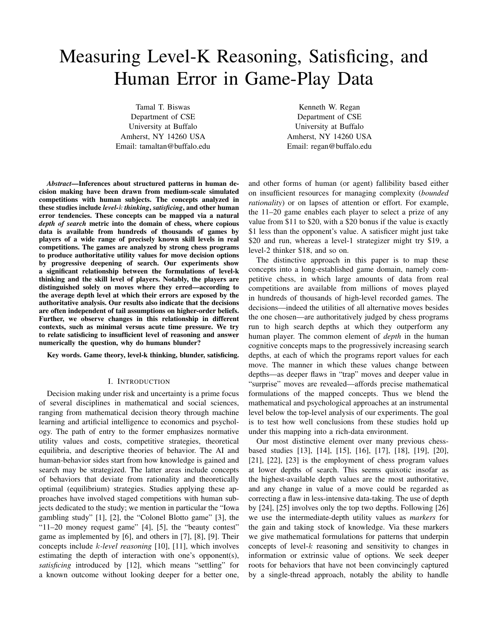# Measuring Level-K Reasoning, Satisficing, and Human Error in Game-Play Data

Tamal T. Biswas Department of CSE University at Buffalo Amherst, NY 14260 USA Email: tamaltan@buffalo.edu

Kenneth W. Regan Department of CSE University at Buffalo Amherst, NY 14260 USA Email: regan@buffalo.edu

*Abstract*—Inferences about structured patterns in human decision making have been drawn from medium-scale simulated competitions with human subjects. The concepts analyzed in these studies include *level-*k *thinking*, *satisficing*, and other human error tendencies. These concepts can be mapped via a natural *depth of search* metric into the domain of chess, where copious data is available from hundreds of thousands of games by players of a wide range of precisely known skill levels in real competitions. The games are analyzed by strong chess programs to produce authoritative utility values for move decision options by progressive deepening of search. Our experiments show a significant relationship between the formulations of level-k thinking and the skill level of players. Notably, the players are distinguished solely on moves where they erred—according to the average depth level at which their errors are exposed by the authoritative analysis. Our results also indicate that the decisions are often independent of tail assumptions on higher-order beliefs. Further, we observe changes in this relationship in different contexts, such as minimal versus acute time pressure. We try to relate satisficing to insufficient level of reasoning and answer numerically the question, why do humans blunder?

Key words. Game theory, level-k thinking, blunder, satisficing.

### I. INTRODUCTION

Decision making under risk and uncertainty is a prime focus of several disciplines in mathematical and social sciences, ranging from mathematical decision theory through machine learning and artificial intelligence to economics and psychology. The path of entry to the former emphasizes normative utility values and costs, competitive strategies, theoretical equilibria, and descriptive theories of behavior. The AI and human-behavior sides start from how knowledge is gained and search may be strategized. The latter areas include concepts of behaviors that deviate from rationality and theoretically optimal (equilibrium) strategies. Studies applying these approaches have involved staged competitions with human subjects dedicated to the study; we mention in particular the "Iowa gambling study" [1], [2], the "Colonel Blotto game" [3], the "11–20 money request game" [4], [5], the "beauty contest" game as implemented by [6], and others in [7], [8], [9]. Their concepts include k*-level reasoning* [10], [11], which involves estimating the depth of interaction with one's opponent(s), *satisficing* introduced by [12], which means "settling" for a known outcome without looking deeper for a better one,

and other forms of human (or agent) fallibility based either on insufficient resources for managing complexity (*bounded rationality*) or on lapses of attention or effort. For example, the 11–20 game enables each player to select a prize of any value from \$11 to \$20, with a \$20 bonus if the value is exactly \$1 less than the opponent's value. A satisficer might just take \$20 and run, whereas a level-1 strategizer might try \$19, a level-2 thinker \$18, and so on.

The distinctive approach in this paper is to map these concepts into a long-established game domain, namely competitive chess, in which large amounts of data from real competitions are available from millions of moves played in hundreds of thousands of high-level recorded games. The decisions—indeed the utilities of all alternative moves besides the one chosen—are authoritatively judged by chess programs run to high search depths at which they outperform any human player. The common element of *depth* in the human cognitive concepts maps to the progressively increasing search depths, at each of which the programs report values for each move. The manner in which these values change between depths—as deeper flaws in "trap" moves and deeper value in "surprise" moves are revealed—affords precise mathematical formulations of the mapped concepts. Thus we blend the mathematical and psychological approaches at an instrumental level below the top-level analysis of our experiments. The goal is to test how well conclusions from these studies hold up under this mapping into a rich-data environment.

Our most distinctive element over many previous chessbased studies [13], [14], [15], [16], [17], [18], [19], [20], [21], [22], [23] is the employment of chess program values at lower depths of search. This seems quixotic insofar as the highest-available depth values are the most authoritative, and any change in value of a move could be regarded as correcting a flaw in less-intensive data-taking. The use of depth by [24], [25] involves only the top two depths. Following [26] we use the intermediate-depth utility values as *markers* for the gain and taking stock of knowledge. Via these markers we give mathematical formulations for patterns that underpin concepts of level-k reasoning and sensitivity to changes in information or extrinsic value of options. We seek deeper roots for behaviors that have not been convincingly captured by a single-thread approach, notably the ability to handle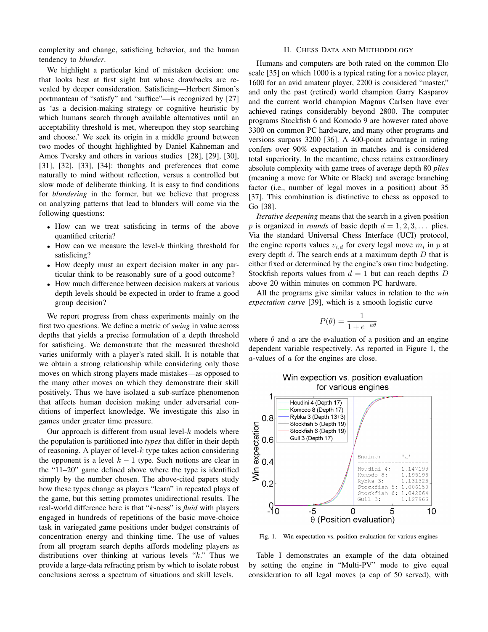complexity and change, satisficing behavior, and the human tendency to *blunder*.

We highlight a particular kind of mistaken decision: one that looks best at first sight but whose drawbacks are revealed by deeper consideration. Satisficing—Herbert Simon's portmanteau of "satisfy" and "suffice"—is recognized by [27] as 'as a decision-making strategy or cognitive heuristic by which humans search through available alternatives until an acceptability threshold is met, whereupon they stop searching and choose.' We seek its origin in a middle ground between two modes of thought highlighted by Daniel Kahneman and Amos Tversky and others in various studies [28], [29], [30], [31], [32], [33], [34]: thoughts and preferences that come naturally to mind without reflection, versus a controlled but slow mode of deliberate thinking. It is easy to find conditions for *blundering* in the former, but we believe that progress on analyzing patterns that lead to blunders will come via the following questions:

- How can we treat satisficing in terms of the above quantified criteria?
- How can we measure the level- $k$  thinking threshold for satisficing?
- How deeply must an expert decision maker in any particular think to be reasonably sure of a good outcome?
- How much difference between decision makers at various depth levels should be expected in order to frame a good group decision?

We report progress from chess experiments mainly on the first two questions. We define a metric of *swing* in value across depths that yields a precise formulation of a depth threshold for satisficing. We demonstrate that the measured threshold varies uniformly with a player's rated skill. It is notable that we obtain a strong relationship while considering only those moves on which strong players made mistakes—as opposed to the many other moves on which they demonstrate their skill positively. Thus we have isolated a sub-surface phenomenon that affects human decision making under adversarial conditions of imperfect knowledge. We investigate this also in games under greater time pressure.

Our approach is different from usual level- $k$  models where the population is partitioned into *types* that differ in their depth of reasoning. A player of level- $k$  type takes action considering the opponent is a level  $k - 1$  type. Such notions are clear in the "11–20" game defined above where the type is identified simply by the number chosen. The above-cited papers study how these types change as players "learn" in repeated plays of the game, but this setting promotes unidirectional results. The real-world difference here is that "k-ness" is *fluid* with players engaged in hundreds of repetitions of the basic move-choice task in variegated game positions under budget constraints of concentration energy and thinking time. The use of values from all program search depths affords modeling players as distributions over thinking at various levels "k." Thus we provide a large-data refracting prism by which to isolate robust conclusions across a spectrum of situations and skill levels.

#### II. CHESS DATA AND METHODOLOGY

Humans and computers are both rated on the common Elo scale [35] on which 1000 is a typical rating for a novice player, 1600 for an avid amateur player, 2200 is considered "master," and only the past (retired) world champion Garry Kasparov and the current world champion Magnus Carlsen have ever achieved ratings considerably beyond 2800. The computer programs Stockfish 6 and Komodo 9 are however rated above 3300 on common PC hardware, and many other programs and versions surpass 3200 [36]. A 400-point advantage in rating confers over 90% expectation in matches and is considered total superiority. In the meantime, chess retains extraordinary absolute complexity with game trees of average depth 80 *plies* (meaning a move for White or Black) and average branching factor (i.e., number of legal moves in a position) about 35 [37]. This combination is distinctive to chess as opposed to Go [38].

*Iterative deepening* means that the search in a given position p is organized in *rounds* of basic depth  $d = 1, 2, 3, \ldots$  plies. Via the standard Universal Chess Interface (UCI) protocol, the engine reports values  $v_{i,d}$  for every legal move  $m_i$  in  $p$  at every depth  $d$ . The search ends at a maximum depth  $D$  that is either fixed or determined by the engine's own time budgeting. Stockfish reports values from  $d = 1$  but can reach depths D above 20 within minutes on common PC hardware.

All the programs give similar values in relation to the *win expectation curve* [39], which is a smooth logistic curve

$$
P(\theta) = \frac{1}{1+e^{-a\theta}}
$$

where  $\theta$  and  $\alpha$  are the evaluation of a position and an engine dependent variable respectively. As reported in Figure 1, the a-values of a for the engines are close.



Win expection vs. position evaluation for various engines

Fig. 1. Win expectation vs. position evaluation for various engines

Table I demonstrates an example of the data obtained by setting the engine in "Multi-PV" mode to give equal consideration to all legal moves (a cap of 50 served), with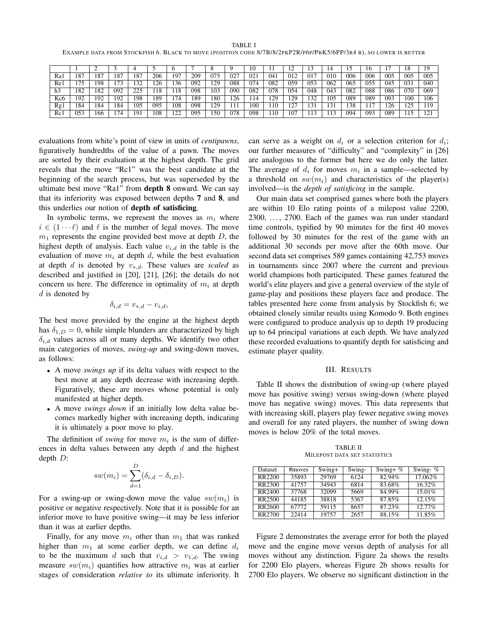| TABLE I                                                                                                           |  |
|-------------------------------------------------------------------------------------------------------------------|--|
| EXAMPLE DATA FROM STOCKFISH 6. BLACK TO MOVE (POSITION CODE 8/7B/8/2PKP2R/P6P/PBK5/6PP/3R4 b), SO LOWER IS BETTER |  |

|                |     |     |                          |           |     |               |     |     |     | $\overline{1}$ | . . | - ⊥ |                      |                       |     | ı٥  |     | 18                         | 19  |
|----------------|-----|-----|--------------------------|-----------|-----|---------------|-----|-----|-----|----------------|-----|-----|----------------------|-----------------------|-----|-----|-----|----------------------------|-----|
| Ra1            | 187 | 187 | 187                      | 187       | 206 | 197           | 209 | 075 | 027 |                | 041 | 012 | 017                  | 010                   | 006 | 006 | 005 | 005                        | 005 |
| Re1            | 75  | 198 | $\mathbf{a}$             | 30<br>ے و | 126 | 136           | 092 | 29  | 088 | 074            | 082 | 059 | 053                  | 062                   | 065 | 055 | 045 | 031                        | 040 |
| h <sub>3</sub> | 182 | 182 | 092                      | つつち       | 118 | 118           | 098 | 103 | 090 | 082            | 078 | 054 | 048                  | 043                   | 082 | 088 | 086 | 070                        | 069 |
| Kc6            | 92  | 192 | 192                      | 198       | 189 | 174           | 189 | 180 | 126 |                | 129 | 129 | 132                  | 105                   | 089 | 089 | 093 | 100                        | 106 |
| Rg1            | 184 | 184 | 184                      | 105       | 095 | 108           | 098 | 29  | .11 | 100            | 110 | 127 | 131                  | $\mathbf{R}$<br>1 J 1 | 138 |     | 126 | $\Omega$<br>$\overline{1}$ | 119 |
| Rc1            | 053 | 166 | $\overline{\phantom{a}}$ | 191       | 108 | ר רו<br>- ∸ ∸ | 095 | 50  | 078 | 098            | 110 | 107 | 1 <sub>2</sub><br>15 | 13                    | 094 | 093 | 089 |                            | 121 |

evaluations from white's point of view in units of *centipawns*, figuratively hundredths of the value of a pawn. The moves are sorted by their evaluation at the highest depth. The grid reveals that the move "Rc1" was the best candidate at the beginning of the search process, but was superseded by the ultimate best move "Ra1" from depth 8 onward. We can say that its inferiority was exposed between depths 7 and 8, and this underlies our notion of depth of satisficing.

In symbolic terms, we represent the moves as  $m_i$  where  $i \in (1 \cdots \ell)$  and  $\ell$  is the number of legal moves. The move  $m_1$  represents the engine provided best move at depth  $D$ , the highest depth of analysis. Each value  $v_{i,d}$  in the table is the evaluation of move  $m_i$  at depth  $d$ , while the best evaluation at depth d is denoted by v<sup>∗</sup>,d. These values are *scaled* as described and justified in [20], [21], [26]; the details do not concern us here. The difference in optimality of  $m_i$  at depth  $d$  is denoted by

$$
\delta_{i,d} = v_{*,d} - v_{i,d},
$$

The best move provided by the engine at the highest depth has  $\delta_{1,D} = 0$ , while simple blunders are characterized by high  $\delta_{i,d}$  values across all or many depths. We identify two other main categories of moves, *swing-up* and swing-down moves, as follows:

- A move *swings up* if its delta values with respect to the best move at any depth decrease with increasing depth. Figuratively, these are moves whose potential is only manifested at higher depth.
- A move *swings down* if an initially low delta value becomes markedly higher with increasing depth, indicating it is ultimately a poor move to play.

The definition of *swing* for move  $m_i$  is the sum of differences in delta values between any depth  $d$  and the highest depth  $D$ :  $\overline{D}$ 

$$
sw(m_i) = \sum_{d=1}^{D} (\delta_{i,d} - \delta_{i,D}).
$$

For a swing-up or swing-down move the value  $sw(m_i)$  is positive or negative respectively. Note that it is possible for an inferior move to have positive swing—it may be less inferior than it was at earlier depths.

Finally, for any move  $m_i$  other than  $m_1$  that was ranked higher than  $m_1$  at some earlier depth, we can define  $d_i$ to be the maximum d such that  $v_{i,d} > v_{1,d}$ . The swing measure  $sw(m_i)$  quantifies how attractive  $m_i$  was at earlier stages of consideration *relative to* its ultimate inferiority. It

can serve as a weight on  $d_i$  or a selection criterion for  $d_i$ ; our further measures of "difficulty" and "complexity" in [26] are analogous to the former but here we do only the latter. The average of  $d_i$  for moves  $m_i$  in a sample—selected by a threshold on  $sw(m_i)$  and characteristics of the player(s) involved—is the *depth of satisficing* in the sample.

Our main data set comprised games where both the players are within 10 Elo rating points of a milepost value 2200,  $2300, \ldots, 2700$ . Each of the games was run under standard time controls, typified by 90 minutes for the first 40 moves followed by 30 minutes for the rest of the game with an additional 30 seconds per move after the 60th move. Our second data set comprises 589 games containing 42,753 moves in tournaments since 2007 where the current and previous world champions both participated. These games featured the world's elite players and give a general overview of the style of game-play and positions these players face and produce. The tables presented here come from analysis by Stockfish 6; we obtained closely similar results using Komodo 9. Both engines were configured to produce analysis up to depth 19 producing up to 64 principal variations at each depth. We have analyzed these recorded evaluations to quantify depth for satisficing and estimate player quality.

#### III. RESULTS

Table II shows the distribution of swing-up (where played move has positive swing) versus swing-down (where played move has negative swing) moves. This data represents that with increasing skill, players play fewer negative swing moves and overall for any rated players, the number of swing down moves is below 20% of the total moves.

TABLE II MILEPOST DATA SET STATISTICS

| <b>Dataset</b> | #moves | Swing+ | Swing- | Swing+ $%$ | Swing- $%$ |
|----------------|--------|--------|--------|------------|------------|
| RR2200         | 35893  | 29769  | 6124   | 82.94%     | 17.062%    |
| RR2300         | 41757  | 34943  | 6814   | 83.68%     | 16.32%     |
| RR2400         | 37768  | 32099  | 5669   | 84.99%     | 15.01%     |
| RR2500         | 44185  | 38818  | 5367   | 87.85%     | 12.15%     |
| RR2600         | 67772  | 59115  | 8657   | 87.23%     | 12.77%     |
| RR2700         | 22414  | 19757  | 2657   | 88.15%     | 11.85%     |

Figure 2 demonstrates the average error for both the played move and the engine move versus depth of analysis for all moves without any distinction. Figure 2a shows the results for 2200 Elo players, whereas Figure 2b shows results for 2700 Elo players. We observe no significant distinction in the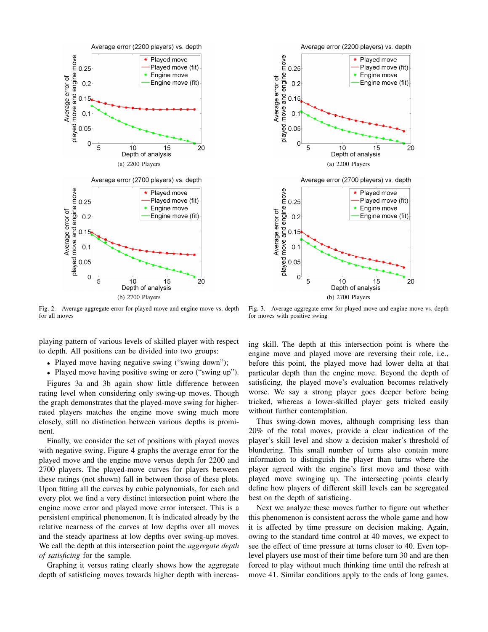

Fig. 2. Average aggregate error for played move and engine move vs. depth for all moves

playing pattern of various levels of skilled player with respect to depth. All positions can be divided into two groups:

- Played move having negative swing ("swing down");
- Played move having positive swing or zero ("swing up").

Figures 3a and 3b again show little difference between rating level when considering only swing-up moves. Though the graph demonstrates that the played-move swing for higherrated players matches the engine move swing much more closely, still no distinction between various depths is prominent.

Finally, we consider the set of positions with played moves with negative swing. Figure 4 graphs the average error for the played move and the engine move versus depth for 2200 and 2700 players. The played-move curves for players between these ratings (not shown) fall in between those of these plots. Upon fitting all the curves by cubic polynomials, for each and every plot we find a very distinct intersection point where the engine move error and played move error intersect. This is a persistent empirical phenomenon. It is indicated already by the relative nearness of the curves at low depths over all moves and the steady apartness at low depths over swing-up moves. We call the depth at this intersection point the *aggregate depth of satisficing* for the sample.

Graphing it versus rating clearly shows how the aggregate depth of satisficing moves towards higher depth with increas-



Fig. 3. Average aggregate error for played move and engine move vs. depth for moves with positive swing

ing skill. The depth at this intersection point is where the engine move and played move are reversing their role, i.e., before this point, the played move had lower delta at that particular depth than the engine move. Beyond the depth of satisficing, the played move's evaluation becomes relatively worse. We say a strong player goes deeper before being tricked, whereas a lower-skilled player gets tricked easily without further contemplation.

Thus swing-down moves, although comprising less than 20% of the total moves, provide a clear indication of the player's skill level and show a decision maker's threshold of blundering. This small number of turns also contain more information to distinguish the player than turns where the player agreed with the engine's first move and those with played move swinging up. The intersecting points clearly define how players of different skill levels can be segregated best on the depth of satisficing.

Next we analyze these moves further to figure out whether this phenomenon is consistent across the whole game and how it is affected by time pressure on decision making. Again, owing to the standard time control at 40 moves, we expect to see the effect of time pressure at turns closer to 40. Even toplevel players use most of their time before turn 30 and are then forced to play without much thinking time until the refresh at move 41. Similar conditions apply to the ends of long games.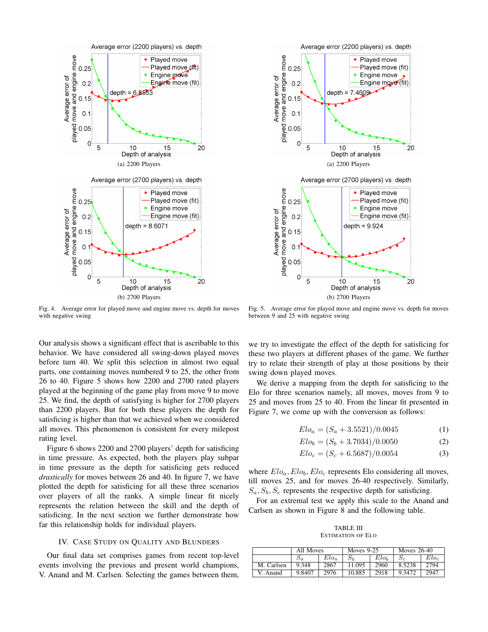

Fig. 4. Average error for played move and engine move vs. depth for moves with negative swing

Our analysis shows a significant effect that is ascribable to this behavior. We have considered all swing-down played moves before turn 40. We split this selection in almost two equal parts, one containing moves numbered 9 to 25, the other from 26 to 40. Figure 5 shows how 2200 and 2700 rated players played at the beginning of the game play from move 9 to move 25. We find, the depth of satisfying is higher for 2700 players than 2200 players. But for both these players the depth for satisficing is higher than that we achieved when we considered all moves. This phenomenon is consistent for every milepost rating level.

Figure 6 shows 2200 and 2700 players' depth for satisficing in time pressure. As expected, both the players play subpar in time pressure as the depth for satisficing gets reduced *drastically* for moves between 26 and 40. In figure 7, we have plotted the depth for satisficing for all these three scenarios over players of all the ranks. A simple linear fit nicely represents the relation between the skill and the depth of satisficing. In the next section we further demonstrate how far this relationship holds for individual players.

# IV. CASE STUDY ON QUALITY AND BLUNDERS

Our final data set comprises games from recent top-level events involving the previous and present world champions, V. Anand and M. Carlsen. Selecting the games between them,



Fig. 5. Average error for played move and engine move vs. depth for moves between 9 and 25 with negative swing

we try to investigate the effect of the depth for satisficing for these two players at different phases of the game. We further try to relate their strength of play at those positions by their swing down played moves.

We derive a mapping from the depth for satisficing to the Elo for three scenarios namely, all moves, moves from 9 to 25 and moves from 25 to 40. From the linear fit presented in Figure 7, we come up with the conversion as follows:

$$
E l o_a = (S_a + 3.5521)/0.0045
$$
 (1)

$$
E l o_b = (S_b + 3.7034)/0.0050
$$
 (2)

$$
E l o_c = (S_c + 6.5687)/0.0054
$$
 (3)

where  $Elo_a$ ,  $Elo_b$ ,  $Elo_c$  represents Elo considering all moves, till moves 25, and for moves 26-40 respectively. Similarly,  $S_a, S_b, S_c$  represents the respective depth for satisficing.

For an extremal test we apply this scale to the Anand and Carlsen as shown in Figure 8 and the following table.

TABLE III ESTIMATION OF ELO

|            | All Moves |      | Moves $9-25$ |      | Moves 26-40 |                  |  |
|------------|-----------|------|--------------|------|-------------|------------------|--|
|            | n ~       |      |              | Elor |             | Elo <sub>c</sub> |  |
| M. Carlsen | 9.348     | 2867 | 11.095       | 2960 | 8.5238      | 2794             |  |
| Anand      | 9.8407    | 2976 | 10.885       | 2918 | 9.3472      | 2947             |  |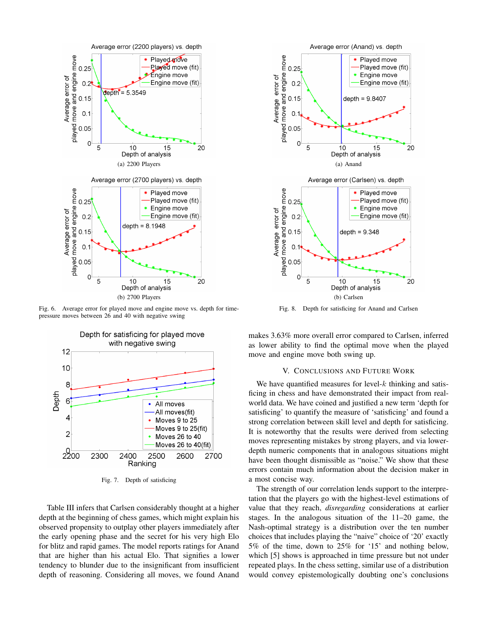

Fig. 6. Average error for played move and engine move vs. depth for timepressure moves between 26 and 40 with negative swing



Fig. 7. Depth of satisficing

Table III infers that Carlsen considerably thought at a higher depth at the beginning of chess games, which might explain his observed propensity to outplay other players immediately after the early opening phase and the secret for his very high Elo for blitz and rapid games. The model reports ratings for Anand that are higher than his actual Elo. That signifies a lower tendency to blunder due to the insignificant from insufficient depth of reasoning. Considering all moves, we found Anand



Fig. 8. Depth for satisficing for Anand and Carlsen

makes 3.63% more overall error compared to Carlsen, inferred as lower ability to find the optimal move when the played move and engine move both swing up.

## V. CONCLUSIONS AND FUTURE WORK

We have quantified measures for level- $k$  thinking and satisficing in chess and have demonstrated their impact from realworld data. We have coined and justified a new term 'depth for satisficing' to quantify the measure of 'satisficing' and found a strong correlation between skill level and depth for satisficing. It is noteworthy that the results were derived from selecting moves representing mistakes by strong players, and via lowerdepth numeric components that in analogous situations might have been thought dismissible as "noise." We show that these errors contain much information about the decision maker in a most concise way.

The strength of our correlation lends support to the interpretation that the players go with the highest-level estimations of value that they reach, *disregarding* considerations at earlier stages. In the analogous situation of the 11–20 game, the Nash-optimal strategy is a distribution over the ten number choices that includes playing the "naive" choice of '20' exactly 5% of the time, down to 25% for '15' and nothing below, which [5] shows is approached in time pressure but not under repeated plays. In the chess setting, similar use of a distribution would convey epistemologically doubting one's conclusions